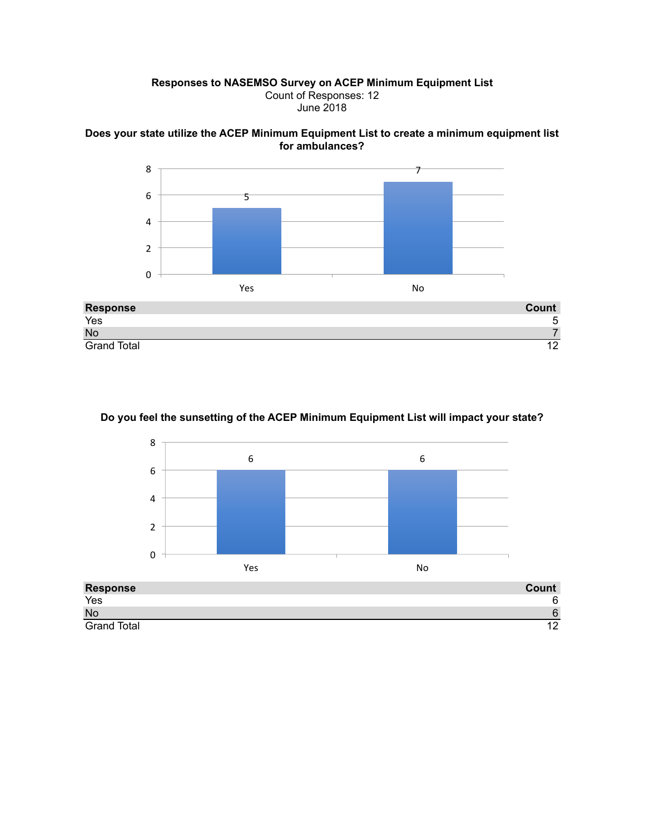## **Responses to NASEMSO Survey on ACEP Minimum Equipment List** Count of Responses: 12 June 2018





Grand Total 12

## **Do you feel the sunsetting of the ACEP Minimum Equipment List will impact your state?**